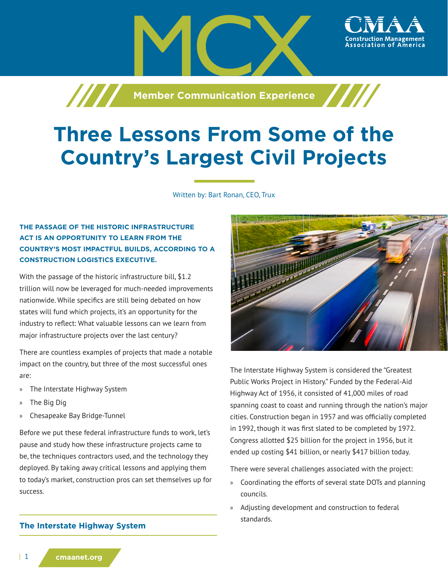**Member Communication Experience** 

# **Three Lessons From Some of the Country's Largest Civil Projects**

Written by: Bart Ronan, CEO, Trux

# **THE PASSAGE OF THE HISTORIC INFRASTRUCTURE ACT IS AN OPPORTUNITY TO LEARN FROM THE COUNTRY'S MOST IMPACTFUL BUILDS, ACCORDING TO A CONSTRUCTION LOGISTICS EXECUTIVE.**

With the passage of the historic infrastructure bill, \$1.2 trillion will now be leveraged for much-needed improvements nationwide. While specifics are still being debated on how states will fund which projects, it's an opportunity for the industry to reflect: What valuable lessons can we learn from major infrastructure projects over the last century?

There are countless examples of projects that made a notable impact on the country, but three of the most successful ones are:

- » The Interstate Highway System
- » The Big Dig
- » Chesapeake Bay Bridge-Tunnel

Before we put these federal infrastructure funds to work, let's pause and study how these infrastructure projects came to be, the techniques contractors used, and the technology they deployed. By taking away critical lessons and applying them to today's market, construction pros can set themselves up for success.

#### **The Interstate Highway System**



ssociation of

The Interstate Highway System is considered the "Greatest Public Works Project in History." Funded by the Federal-Aid Highway Act of 1956, it consisted of 41,000 miles of road spanning coast to coast and running through the nation's major cities. Construction began in 1957 and was officially completed in 1992, though it was first slated to be completed by 1972. Congress allotted \$25 billion for the project in 1956, but it ended up costing \$41 billion, or nearly \$417 billion today.

There were several challenges associated with the project:

- » Coordinating the efforts of several state DOTs and planning councils.
- » Adjusting development and construction to federal standards.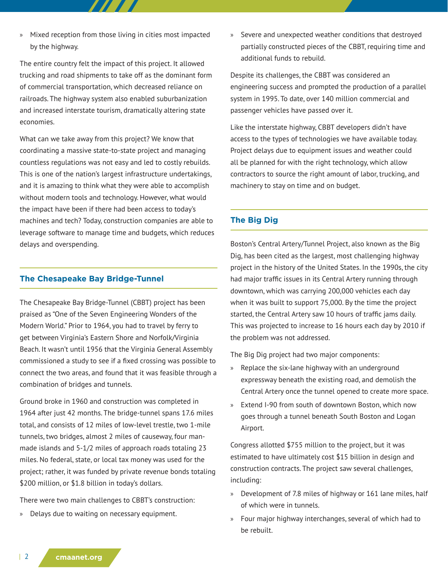» Mixed reception from those living in cities most impacted by the highway.

The entire country felt the impact of this project. It allowed trucking and road shipments to take off as the dominant form of commercial transportation, which decreased reliance on railroads. The highway system also enabled suburbanization and increased interstate tourism, dramatically altering state economies.

What can we take away from this project? We know that coordinating a massive state-to-state project and managing countless regulations was not easy and led to costly rebuilds. This is one of the nation's largest infrastructure undertakings, and it is amazing to think what they were able to accomplish without modern tools and technology. However, what would the impact have been if there had been access to today's machines and tech? Today, construction companies are able to leverage software to manage time and budgets, which reduces delays and overspending.

#### **The Chesapeake Bay Bridge-Tunnel**

The Chesapeake Bay Bridge-Tunnel (CBBT) project has been praised as "One of the Seven Engineering Wonders of the Modern World." Prior to 1964, you had to travel by ferry to get between Virginia's Eastern Shore and Norfolk/Virginia Beach. It wasn't until 1956 that the Virginia General Assembly commissioned a study to see if a fixed crossing was possible to connect the two areas, and found that it was feasible through a combination of bridges and tunnels.

Ground broke in 1960 and construction was completed in 1964 after just 42 months. The bridge-tunnel spans 17.6 miles total, and consists of 12 miles of low-level trestle, two 1-mile tunnels, two bridges, almost 2 miles of causeway, four manmade islands and 5-1/2 miles of approach roads totaling 23 miles. No federal, state, or local tax money was used for the project; rather, it was funded by private revenue bonds totaling \$200 million, or \$1.8 billion in today's dollars.

There were two main challenges to CBBT's construction:

» Delays due to waiting on necessary equipment.

» Severe and unexpected weather conditions that destroyed partially constructed pieces of the CBBT, requiring time and additional funds to rebuild.

Despite its challenges, the CBBT was considered an engineering success and prompted the production of a parallel system in 1995. To date, over 140 million commercial and passenger vehicles have passed over it.

Like the interstate highway, CBBT developers didn't have access to the types of technologies we have available today. Project delays due to equipment issues and weather could all be planned for with the right technology, which allow contractors to source the right amount of labor, trucking, and machinery to stay on time and on budget.

## **The Big Dig**

Boston's Central Artery/Tunnel Project, also known as the Big Dig, has been cited as the largest, most challenging highway project in the history of the United States. In the 1990s, the city had major traffic issues in its Central Artery running through downtown, which was carrying 200,000 vehicles each day when it was built to support 75,000. By the time the project started, the Central Artery saw 10 hours of traffic jams daily. This was projected to increase to 16 hours each day by 2010 if the problem was not addressed.

The Big Dig project had two major components:

- » Replace the six-lane highway with an underground expressway beneath the existing road, and demolish the Central Artery once the tunnel opened to create more space.
- » Extend I-90 from south of downtown Boston, which now goes through a tunnel beneath South Boston and Logan Airport.

Congress allotted \$755 million to the project, but it was estimated to have ultimately cost \$15 billion in design and construction contracts. The project saw several challenges, including:

- » Development of 7.8 miles of highway or 161 lane miles, half of which were in tunnels.
- » Four major highway interchanges, several of which had to be rebuilt.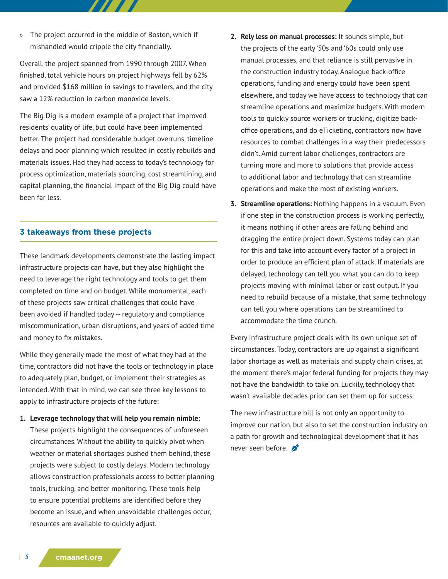» The project occurred in the middle of Boston, which if mishandled would cripple the city financially.

77 T T

Overall, the project spanned from 1990 through 2007. When finished, total vehicle hours on project highways fell by 62% and provided \$168 million in savings to travelers, and the city saw a 12% reduction in carbon monoxide levels.

The Big Dig is a modern example of a project that improved residents' quality of life, but could have been implemented better. The project had considerable budget overruns, timeline delays and poor planning which resulted in costly rebuilds and materials issues. Had they had access to today's technology for process optimization, materials sourcing, cost streamlining, and capital planning, the financial impact of the Big Dig could have been far less.

### **3 takeaways from these projects**

These landmark developments demonstrate the lasting impact infrastructure projects can have, but they also highlight the need to leverage the right technology and tools to get them completed on time and on budget. While monumental, each of these projects saw critical challenges that could have been avoided if handled today -- regulatory and compliance miscommunication, urban disruptions, and years of added time and money to fix mistakes.

While they generally made the most of what they had at the time, contractors did not have the tools or technology in place to adequately plan, budget, or implement their strategies as intended. With that in mind, we can see three key lessons to apply to infrastructure projects of the future:

**1. Leverage technology that will help you remain nimble:** 

These projects highlight the consequences of unforeseen circumstances. Without the ability to quickly pivot when weather or material shortages pushed them behind, these projects were subject to costly delays. Modern technology allows construction professionals access to better planning tools, trucking, and better monitoring. These tools help to ensure potential problems are identified before they become an issue, and when unavoidable challenges occur, resources are available to quickly adjust.

- **2. Rely less on manual processes:** It sounds simple, but the projects of the early '50s and '60s could only use manual processes, and that reliance is still pervasive in the construction industry today. Analogue back-office operations, funding and energy could have been spent elsewhere, and today we have access to technology that can streamline operations and maximize budgets. With modern tools to quickly source workers or trucking, digitize backoffice operations, and do eTicketing, contractors now have resources to combat challenges in a way their predecessors didn't. Amid current labor challenges, contractors are turning more and more to solutions that provide access to additional labor and technology that can streamline operations and make the most of existing workers.
- **3. Streamline operations:** Nothing happens in a vacuum. Even if one step in the construction process is working perfectly, it means nothing if other areas are falling behind and dragging the entire project down. Systems today can plan for this and take into account every factor of a project in order to produce an efficient plan of attack. If materials are delayed, technology can tell you what you can do to keep projects moving with minimal labor or cost output. If you need to rebuild because of a mistake, that same technology can tell you where operations can be streamlined to accommodate the time crunch.

Every infrastructure project deals with its own unique set of circumstances. Today, contractors are up against a significant labor shortage as well as materials and supply chain crises, at the moment there's major federal funding for projects they may not have the bandwidth to take on. Luckily, technology that wasn't available decades prior can set them up for success.

The new infrastructure bill is not only an opportunity to improve our nation, but also to set the construction industry on a path for growth and technological development that it has never seen before.